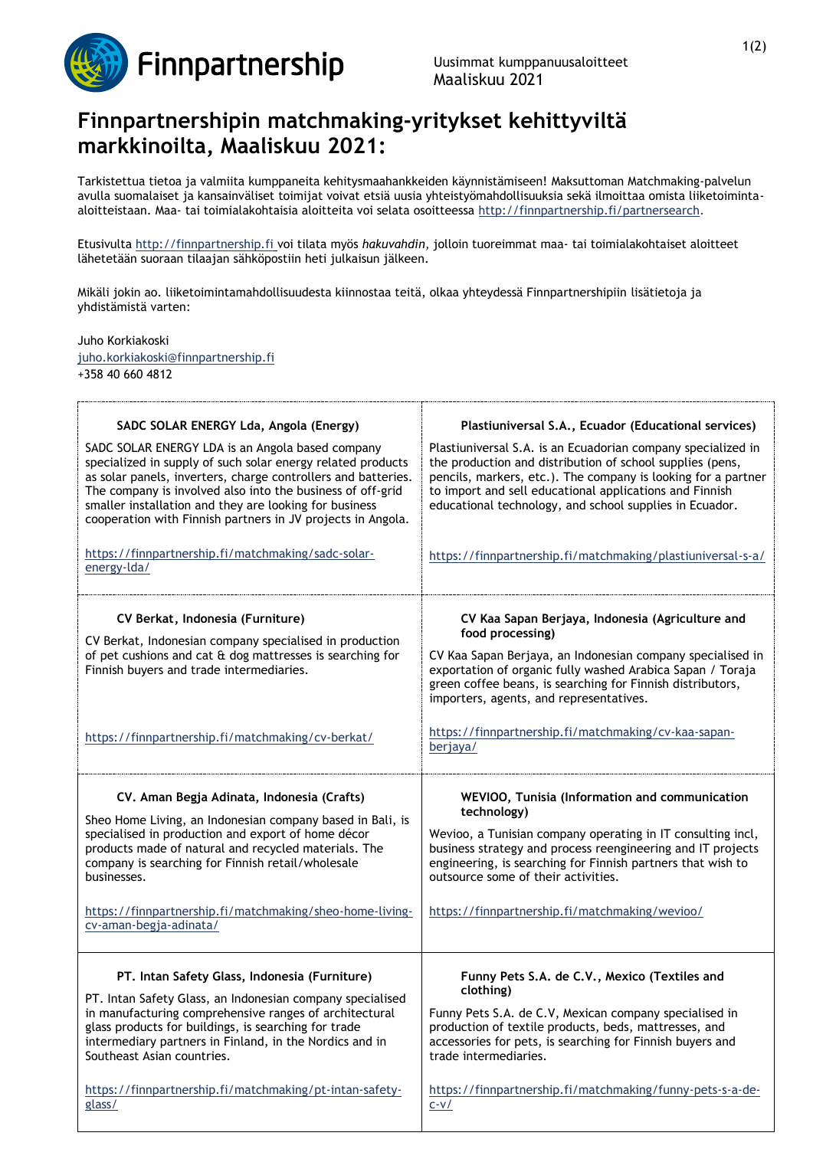

## **Finnpartnershipin matchmaking-yritykset kehittyviltä markkinoilta, Maaliskuu 2021:**

Tarkistettua tietoa ja valmiita kumppaneita kehitysmaahankkeiden käynnistämiseen! Maksuttoman Matchmaking-palvelun avulla suomalaiset ja kansainväliset toimijat voivat etsiä uusia yhteistyömahdollisuuksia sekä ilmoittaa omista liiketoimintaaloitteistaan. Maa- tai toimialakohtaisia aloitteita voi selata osoitteessa [http://finnpartnership.fi/partnersearch.](http://finnpartnership.fi/partnersearch)

Etusivulta [http://finnpartnership.fi](http://finnpartnership.fi/) voi tilata myös *hakuvahdin*, jolloin tuoreimmat maa- tai toimialakohtaiset aloitteet lähetetään suoraan tilaajan sähköpostiin heti julkaisun jälkeen.

Mikäli jokin ao. liiketoimintamahdollisuudesta kiinnostaa teitä, olkaa yhteydessä Finnpartnershipiin lisätietoja ja yhdistämistä varten:

Juho Korkiakoski [juho.korkiakoski@finnpartnership.fi](mailto:juho.korkiakoski@finnpartnership.fi)

+358 40 660 4812

| SADC SOLAR ENERGY Lda, Angola (Energy)<br>SADC SOLAR ENERGY LDA is an Angola based company<br>specialized in supply of such solar energy related products<br>as solar panels, inverters, charge controllers and batteries.<br>The company is involved also into the business of off-grid<br>smaller installation and they are looking for business<br>cooperation with Finnish partners in JV projects in Angola.<br>https://finnpartnership.fi/matchmaking/sadc-solar-<br>energy-Ida/ | Plastiuniversal S.A., Ecuador (Educational services)<br>Plastiuniversal S.A. is an Ecuadorian company specialized in<br>the production and distribution of school supplies (pens,<br>pencils, markers, etc.). The company is looking for a partner<br>to import and sell educational applications and Finnish<br>educational technology, and school supplies in Ecuador.<br>https://finnpartnership.fi/matchmaking/plastiuniversal-s-a/ |
|----------------------------------------------------------------------------------------------------------------------------------------------------------------------------------------------------------------------------------------------------------------------------------------------------------------------------------------------------------------------------------------------------------------------------------------------------------------------------------------|-----------------------------------------------------------------------------------------------------------------------------------------------------------------------------------------------------------------------------------------------------------------------------------------------------------------------------------------------------------------------------------------------------------------------------------------|
| CV Berkat, Indonesia (Furniture)<br>CV Berkat, Indonesian company specialised in production<br>of pet cushions and cat & dog mattresses is searching for<br>Finnish buyers and trade intermediaries.<br>https://finnpartnership.fi/matchmaking/cv-berkat/                                                                                                                                                                                                                              | CV Kaa Sapan Berjaya, Indonesia (Agriculture and<br>food processing)<br>CV Kaa Sapan Berjaya, an Indonesian company specialised in<br>exportation of organic fully washed Arabica Sapan / Toraja<br>green coffee beans, is searching for Finnish distributors,<br>importers, agents, and representatives.<br>https://finnpartnership.fi/matchmaking/cv-kaa-sapan-<br>berjaya/                                                           |
| CV. Aman Begja Adinata, Indonesia (Crafts)<br>Sheo Home Living, an Indonesian company based in Bali, is<br>specialised in production and export of home décor<br>products made of natural and recycled materials. The<br>company is searching for Finnish retail/wholesale<br>businesses.<br>https://finnpartnership.fi/matchmaking/sheo-home-living-<br>cv-aman-begja-adinata/                                                                                                        | WEVIOO, Tunisia (Information and communication<br>technology)<br>Wevioo, a Tunisian company operating in IT consulting incl,<br>business strategy and process reengineering and IT projects<br>engineering, is searching for Finnish partners that wish to<br>outsource some of their activities.<br>https://finnpartnership.fi/matchmaking/wevioo/                                                                                     |
| PT. Intan Safety Glass, Indonesia (Furniture)<br>PT. Intan Safety Glass, an Indonesian company specialised<br>in manufacturing comprehensive ranges of architectural<br>glass products for buildings, is searching for trade<br>intermediary partners in Finland, in the Nordics and in<br>Southeast Asian countries.<br>https://finnpartnership.fi/matchmaking/pt-intan-safety-<br>glass/                                                                                             | Funny Pets S.A. de C.V., Mexico (Textiles and<br>clothing)<br>Funny Pets S.A. de C.V, Mexican company specialised in<br>production of textile products, beds, mattresses, and<br>accessories for pets, is searching for Finnish buyers and<br>trade intermediaries.<br>https://finnpartnership.fi/matchmaking/funny-pets-s-a-de-<br>$C-V/$                                                                                              |